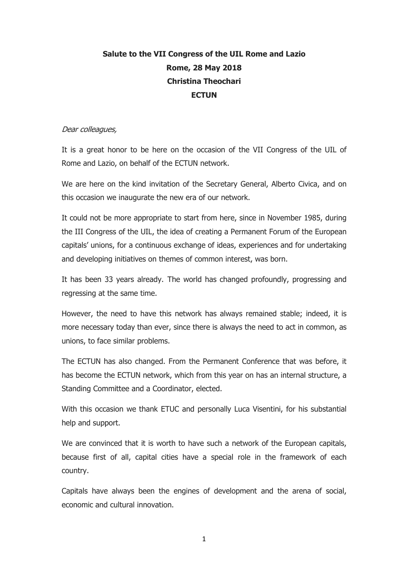## **Salute to the VII Congress of the UIL Rome and Lazio Rome, 28 May 2018 Christina Theochari ECTUN**

## Dear colleagues,

It is a great honor to be here on the occasion of the VII Congress of the UIL of Rome and Lazio, on behalf of the ECTUN network.

We are here on the kind invitation of the Secretary General, Alberto Civica, and on this occasion we inaugurate the new era of our network.

It could not be more appropriate to start from here, since in November 1985, during the III Congress of the UIL, the idea of creating a Permanent Forum of the European capitals' unions, for a continuous exchange of ideas, experiences and for undertaking and developing initiatives on themes of common interest, was born.

It has been 33 years already. The world has changed profoundly, progressing and regressing at the same time.

However, the need to have this network has always remained stable; indeed, it is more necessary today than ever, since there is always the need to act in common, as unions, to face similar problems.

The ECTUN has also changed. From the Permanent Conference that was before, it has become the ECTUN network, which from this year on has an internal structure, a Standing Committee and a Coordinator, elected.

With this occasion we thank ETUC and personally Luca Visentini, for his substantial help and support.

We are convinced that it is worth to have such a network of the European capitals, because first of all, capital cities have a special role in the framework of each country.

Capitals have always been the engines of development and the arena of social, economic and cultural innovation.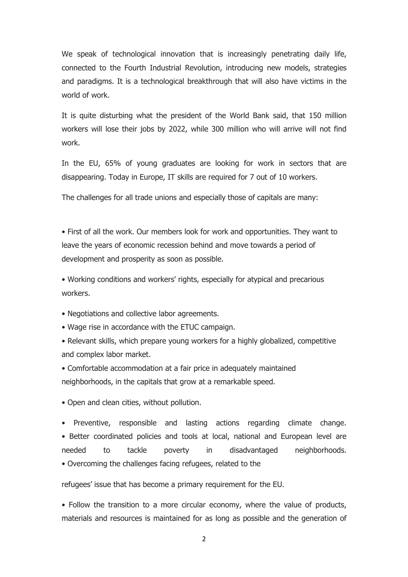We speak of technological innovation that is increasingly penetrating daily life, connected to the Fourth Industrial Revolution, introducing new models, strategies and paradigms. It is a technological breakthrough that will also have victims in the world of work.

It is quite disturbing what the president of the World Bank said, that 150 million workers will lose their jobs by 2022, while 300 million who will arrive will not find work.

In the EU, 65% of young graduates are looking for work in sectors that are disappearing. Today in Europe, IT skills are required for 7 out of 10 workers.

The challenges for all trade unions and especially those of capitals are many:

• First of all the work. Our members look for work and opportunities. They want to leave the years of economic recession behind and move towards a period of development and prosperity as soon as possible.

• Working conditions and workers' rights, especially for atypical and precarious workers.

- Negotiations and collective labor agreements.
- Wage rise in accordance with the ETUC campaign.
- Relevant skills, which prepare young workers for a highly globalized, competitive and complex labor market.
- Comfortable accommodation at a fair price in adequately maintained neighborhoods, in the capitals that grow at a remarkable speed.
- Open and clean cities, without pollution.

• Preventive, responsible and lasting actions regarding climate change. • Better coordinated policies and tools at local, national and European level are needed to tackle poverty in disadvantaged neighborhoods. • Overcoming the challenges facing refugees, related to the

refugees' issue that has become a primary requirement for the EU.

• Follow the transition to a more circular economy, where the value of products, materials and resources is maintained for as long as possible and the generation of